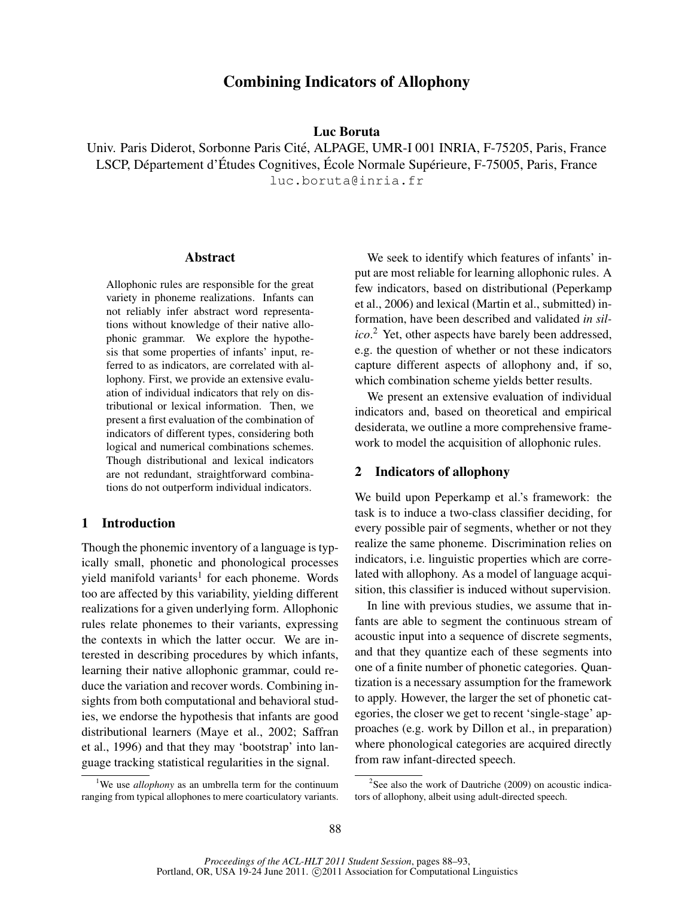# Combining Indicators of Allophony

Luc Boruta

Univ. Paris Diderot, Sorbonne Paris Cite, ALPAGE, UMR-I 001 INRIA, F-75205, Paris, France ´ LSCP, Département d'Études Cognitives, École Normale Supérieure, F-75005, Paris, France luc.boruta@inria.fr

#### Abstract

Allophonic rules are responsible for the great variety in phoneme realizations. Infants can not reliably infer abstract word representations without knowledge of their native allophonic grammar. We explore the hypothesis that some properties of infants' input, referred to as indicators, are correlated with allophony. First, we provide an extensive evaluation of individual indicators that rely on distributional or lexical information. Then, we present a first evaluation of the combination of indicators of different types, considering both logical and numerical combinations schemes. Though distributional and lexical indicators are not redundant, straightforward combinations do not outperform individual indicators.

# 1 Introduction

Though the phonemic inventory of a language is typically small, phonetic and phonological processes yield manifold variants<sup>1</sup> for each phoneme. Words too are affected by this variability, yielding different realizations for a given underlying form. Allophonic rules relate phonemes to their variants, expressing the contexts in which the latter occur. We are interested in describing procedures by which infants, learning their native allophonic grammar, could reduce the variation and recover words. Combining insights from both computational and behavioral studies, we endorse the hypothesis that infants are good distributional learners (Maye et al., 2002; Saffran et al., 1996) and that they may 'bootstrap' into language tracking statistical regularities in the signal.

We seek to identify which features of infants' input are most reliable for learning allophonic rules. A few indicators, based on distributional (Peperkamp et al., 2006) and lexical (Martin et al., submitted) information, have been described and validated *in silico*. <sup>2</sup> Yet, other aspects have barely been addressed, e.g. the question of whether or not these indicators capture different aspects of allophony and, if so, which combination scheme yields better results.

We present an extensive evaluation of individual indicators and, based on theoretical and empirical desiderata, we outline a more comprehensive framework to model the acquisition of allophonic rules.

## 2 Indicators of allophony

We build upon Peperkamp et al.'s framework: the task is to induce a two-class classifier deciding, for every possible pair of segments, whether or not they realize the same phoneme. Discrimination relies on indicators, i.e. linguistic properties which are correlated with allophony. As a model of language acquisition, this classifier is induced without supervision.

In line with previous studies, we assume that infants are able to segment the continuous stream of acoustic input into a sequence of discrete segments, and that they quantize each of these segments into one of a finite number of phonetic categories. Quantization is a necessary assumption for the framework to apply. However, the larger the set of phonetic categories, the closer we get to recent 'single-stage' approaches (e.g. work by Dillon et al., in preparation) where phonological categories are acquired directly from raw infant-directed speech.

<sup>&</sup>lt;sup>1</sup>We use *allophony* as an umbrella term for the continuum ranging from typical allophones to mere coarticulatory variants.

<sup>&</sup>lt;sup>2</sup>See also the work of Dautriche (2009) on acoustic indicators of allophony, albeit using adult-directed speech.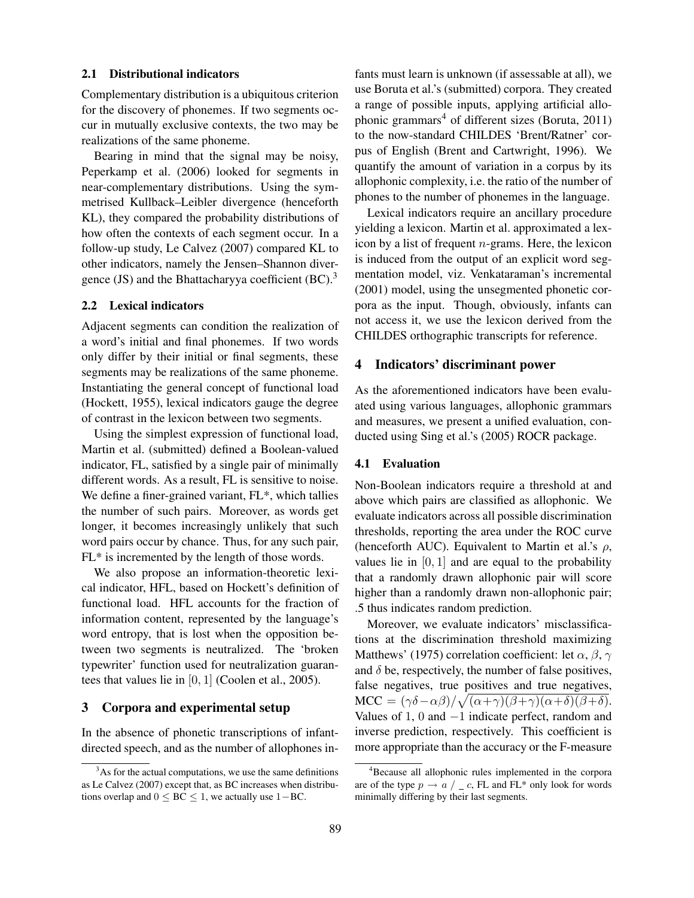## 2.1 Distributional indicators

Complementary distribution is a ubiquitous criterion for the discovery of phonemes. If two segments occur in mutually exclusive contexts, the two may be realizations of the same phoneme.

Bearing in mind that the signal may be noisy, Peperkamp et al. (2006) looked for segments in near-complementary distributions. Using the symmetrised Kullback–Leibler divergence (henceforth KL), they compared the probability distributions of how often the contexts of each segment occur. In a follow-up study, Le Calvez (2007) compared KL to other indicators, namely the Jensen–Shannon divergence (JS) and the Bhattacharyya coefficient  $(BC)$ .<sup>3</sup>

# 2.2 Lexical indicators

Adjacent segments can condition the realization of a word's initial and final phonemes. If two words only differ by their initial or final segments, these segments may be realizations of the same phoneme. Instantiating the general concept of functional load (Hockett, 1955), lexical indicators gauge the degree of contrast in the lexicon between two segments.

Using the simplest expression of functional load, Martin et al. (submitted) defined a Boolean-valued indicator, FL, satisfied by a single pair of minimally different words. As a result, FL is sensitive to noise. We define a finer-grained variant, FL<sup>\*</sup>, which tallies the number of such pairs. Moreover, as words get longer, it becomes increasingly unlikely that such word pairs occur by chance. Thus, for any such pair, FL\* is incremented by the length of those words.

We also propose an information-theoretic lexical indicator, HFL, based on Hockett's definition of functional load. HFL accounts for the fraction of information content, represented by the language's word entropy, that is lost when the opposition between two segments is neutralized. The 'broken typewriter' function used for neutralization guarantees that values lie in  $[0, 1]$  (Coolen et al., 2005).

# 3 Corpora and experimental setup

In the absence of phonetic transcriptions of infantdirected speech, and as the number of allophones infants must learn is unknown (if assessable at all), we use Boruta et al.'s (submitted) corpora. They created a range of possible inputs, applying artificial allophonic grammars<sup>4</sup> of different sizes (Boruta, 2011) to the now-standard CHILDES 'Brent/Ratner' corpus of English (Brent and Cartwright, 1996). We quantify the amount of variation in a corpus by its allophonic complexity, i.e. the ratio of the number of phones to the number of phonemes in the language.

Lexical indicators require an ancillary procedure yielding a lexicon. Martin et al. approximated a lexicon by a list of frequent  $n$ -grams. Here, the lexicon is induced from the output of an explicit word segmentation model, viz. Venkataraman's incremental (2001) model, using the unsegmented phonetic corpora as the input. Though, obviously, infants can not access it, we use the lexicon derived from the CHILDES orthographic transcripts for reference.

## 4 Indicators' discriminant power

As the aforementioned indicators have been evaluated using various languages, allophonic grammars and measures, we present a unified evaluation, conducted using Sing et al.'s (2005) ROCR package.

#### 4.1 Evaluation

Non-Boolean indicators require a threshold at and above which pairs are classified as allophonic. We evaluate indicators across all possible discrimination thresholds, reporting the area under the ROC curve (henceforth AUC). Equivalent to Martin et al.'s  $\rho$ , values lie in  $[0, 1]$  and are equal to the probability that a randomly drawn allophonic pair will score higher than a randomly drawn non-allophonic pair; .5 thus indicates random prediction.

Moreover, we evaluate indicators' misclassifications at the discrimination threshold maximizing Matthews' (1975) correlation coefficient: let  $\alpha$ ,  $\beta$ ,  $\gamma$ and  $\delta$  be, respectively, the number of false positives, false negatives, true positives and true negatives,  $MCC = (\gamma \delta - \alpha \beta)/\sqrt{(\alpha + \gamma)(\beta + \gamma)(\alpha + \delta)(\beta + \delta)}.$ Values of 1, 0 and  $-1$  indicate perfect, random and inverse prediction, respectively. This coefficient is more appropriate than the accuracy or the F-measure

 $3As$  for the actual computations, we use the same definitions as Le Calvez (2007) except that, as BC increases when distributions overlap and  $0 \le BC \le 1$ , we actually use 1–BC.

<sup>4</sup>Because all allophonic rules implemented in the corpora are of the type  $p \rightarrow a / c$ , FL and FL\* only look for words minimally differing by their last segments.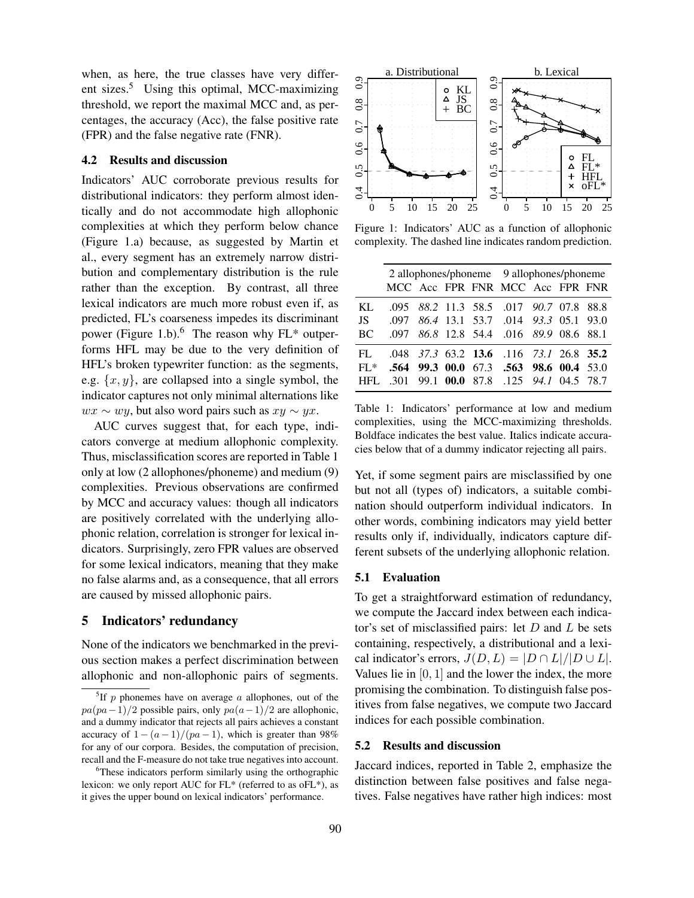when, as here, the true classes have very different sizes.<sup>5</sup> Using this optimal, MCC-maximizing threshold, we report the maximal MCC and, as percentages, the accuracy (Acc), the false positive rate (FPR) and the false negative rate (FNR).

## 4.2 Results and discussion

Indicators' AUC corroborate previous results for distributional indicators: they perform almost identically and do not accommodate high allophonic complexities at which they perform below chance (Figure 1.a) because, as suggested by Martin et al., every segment has an extremely narrow distribution and complementary distribution is the rule rather than the exception. By contrast, all three lexical indicators are much more robust even if, as predicted, FL's coarseness impedes its discriminant power (Figure 1.b).<sup>6</sup> The reason why  $FL^*$  outperforms HFL may be due to the very definition of HFL's broken typewriter function: as the segments, e.g.  $\{x, y\}$ , are collapsed into a single symbol, the indicator captures not only minimal alternations like  $wx \sim wy$ , but also word pairs such as  $xy \sim yx$ .

AUC curves suggest that, for each type, indicators converge at medium allophonic complexity. Thus, misclassification scores are reported in Table 1 only at low (2 allophones/phoneme) and medium (9) complexities. Previous observations are confirmed by MCC and accuracy values: though all indicators are positively correlated with the underlying allophonic relation, correlation is stronger for lexical indicators. Surprisingly, zero FPR values are observed for some lexical indicators, meaning that they make no false alarms and, as a consequence, that all errors are caused by missed allophonic pairs.

### 5 Indicators' redundancy

None of the indicators we benchmarked in the previous section makes a perfect discrimination between allophonic and non-allophonic pairs of segments.



Figure 1: Indicators' AUC as a function of allophonic complexity. The dashed line indicates random prediction.

|           |  |  | 2 allophones/phoneme 9 allophones/phoneme |  |  |  |  |  |  |
|-----------|--|--|-------------------------------------------|--|--|--|--|--|--|
|           |  |  | MCC Acc FPR FNR MCC Acc FPR FNR           |  |  |  |  |  |  |
| KL.       |  |  | .095 88.2 11.3 58.5 .017 90.7 07.8 88.8   |  |  |  |  |  |  |
| JS —      |  |  | .097 86.4 13.1 53.7 .014 93.3 05.1 93.0   |  |  |  |  |  |  |
| <b>BC</b> |  |  | .097 86.8 12.8 54.4 .016 89.9 08.6 88.1   |  |  |  |  |  |  |
| FL        |  |  | .048 37.3 63.2 13.6 .116 73.1 26.8 35.2   |  |  |  |  |  |  |
| $FL^*$    |  |  | .564 99.3 00.0 67.3 .563 98.6 00.4 53.0   |  |  |  |  |  |  |
| HFL.      |  |  | .301 99.1 00.0 87.8 .125 94.1 04.5 78.7   |  |  |  |  |  |  |

Table 1: Indicators' performance at low and medium complexities, using the MCC-maximizing thresholds. Boldface indicates the best value. Italics indicate accuracies below that of a dummy indicator rejecting all pairs.

Yet, if some segment pairs are misclassified by one but not all (types of) indicators, a suitable combination should outperform individual indicators. In other words, combining indicators may yield better results only if, individually, indicators capture different subsets of the underlying allophonic relation.

#### 5.1 Evaluation

To get a straightforward estimation of redundancy, we compute the Jaccard index between each indicator's set of misclassified pairs: let  $D$  and  $L$  be sets containing, respectively, a distributional and a lexical indicator's errors,  $J(D, L) = |D \cap L|/|D \cup L|$ . Values lie in  $[0, 1]$  and the lower the index, the more promising the combination. To distinguish false positives from false negatives, we compute two Jaccard indices for each possible combination.

## 5.2 Results and discussion

Jaccard indices, reported in Table 2, emphasize the distinction between false positives and false negatives. False negatives have rather high indices: most

<sup>&</sup>lt;sup>5</sup>If p phonemes have on average a allophones, out of the  $pa(pa-1)/2$  possible pairs, only  $pa(a-1)/2$  are allophonic, and a dummy indicator that rejects all pairs achieves a constant accuracy of  $1-(a-1)/(pa-1)$ , which is greater than 98% for any of our corpora. Besides, the computation of precision, recall and the F-measure do not take true negatives into account.

<sup>&</sup>lt;sup>6</sup>These indicators perform similarly using the orthographic lexicon: we only report AUC for FL\* (referred to as oFL\*), as it gives the upper bound on lexical indicators' performance.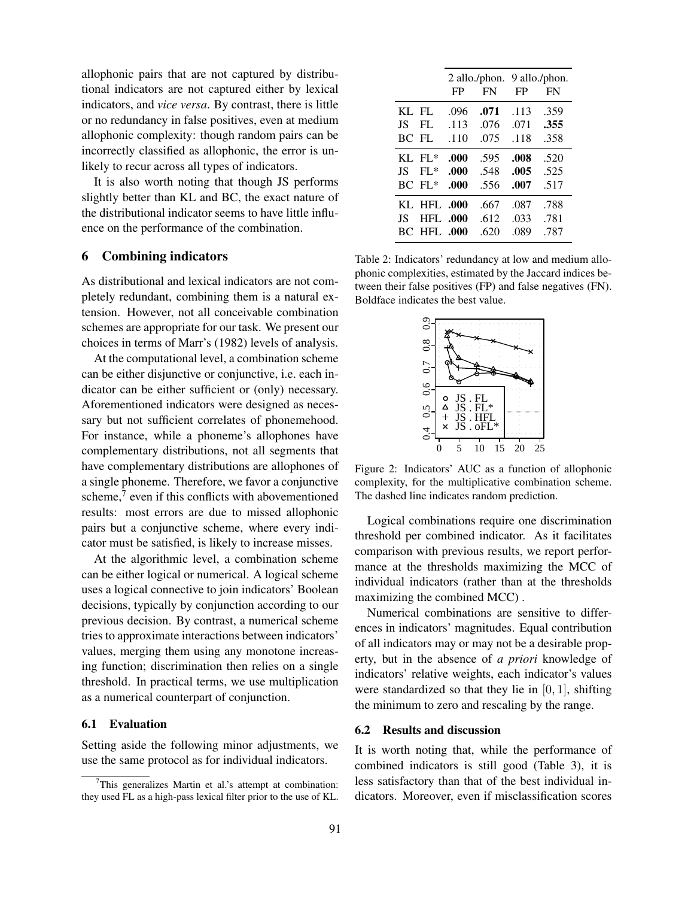allophonic pairs that are not captured by distributional indicators are not captured either by lexical indicators, and *vice versa*. By contrast, there is little or no redundancy in false positives, even at medium allophonic complexity: though random pairs can be incorrectly classified as allophonic, the error is unlikely to recur across all types of indicators.

It is also worth noting that though JS performs slightly better than KL and BC, the exact nature of the distributional indicator seems to have little influence on the performance of the combination.

# 6 Combining indicators

As distributional and lexical indicators are not completely redundant, combining them is a natural extension. However, not all conceivable combination schemes are appropriate for our task. We present our choices in terms of Marr's (1982) levels of analysis.

At the computational level, a combination scheme can be either disjunctive or conjunctive, i.e. each indicator can be either sufficient or (only) necessary. Aforementioned indicators were designed as necessary but not sufficient correlates of phonemehood. For instance, while a phoneme's allophones have complementary distributions, not all segments that have complementary distributions are allophones of a single phoneme. Therefore, we favor a conjunctive scheme, $7$  even if this conflicts with abovementioned results: most errors are due to missed allophonic pairs but a conjunctive scheme, where every indicator must be satisfied, is likely to increase misses.

At the algorithmic level, a combination scheme can be either logical or numerical. A logical scheme uses a logical connective to join indicators' Boolean decisions, typically by conjunction according to our previous decision. By contrast, a numerical scheme tries to approximate interactions between indicators' values, merging them using any monotone increasing function; discrimination then relies on a single threshold. In practical terms, we use multiplication as a numerical counterpart of conjunction.

## 6.1 Evaluation

Setting aside the following minor adjustments, we use the same protocol as for individual indicators.

|       |                    |      |      | 2 allo./phon. 9 allo./phon. |           |  |  |  |  |
|-------|--------------------|------|------|-----------------------------|-----------|--|--|--|--|
|       |                    | FP   | FN   | FP                          | <b>FN</b> |  |  |  |  |
| KL FL |                    | .096 | .071 | .113                        | .359      |  |  |  |  |
| JS -  | FL                 | .113 | .076 | .071                        | .355      |  |  |  |  |
| BC FL |                    | .110 | .075 | .118                        | .358      |  |  |  |  |
|       | $KL$ FL*           | .000 | .595 | .008                        | .520      |  |  |  |  |
| JS -  | $FL^*$             | .000 | .548 | .005                        | .525      |  |  |  |  |
|       | $BC$ $FL*$         | .000 | .556 | .007                        | .517      |  |  |  |  |
|       | KL HFL .000        |      | .667 | .087                        | .788      |  |  |  |  |
| JS –  | <b>HFL .000</b>    |      | .612 | .033                        | .781      |  |  |  |  |
|       | <b>BC HFL .000</b> |      | .620 | .089                        | .787      |  |  |  |  |
|       |                    |      |      |                             |           |  |  |  |  |

Table 2: Indicators' redundancy at low and medium allophonic complexities, estimated by the Jaccard indices between their false positives (FP) and false negatives (FN). Boldface indicates the best value.



Figure 2: Indicators' AUC as a function of allophonic complexity, for the multiplicative combination scheme. The dashed line indicates random prediction.

Logical combinations require one discrimination threshold per combined indicator. As it facilitates comparison with previous results, we report performance at the thresholds maximizing the MCC of individual indicators (rather than at the thresholds maximizing the combined MCC) .

Numerical combinations are sensitive to differences in indicators' magnitudes. Equal contribution of all indicators may or may not be a desirable property, but in the absence of *a priori* knowledge of indicators' relative weights, each indicator's values were standardized so that they lie in  $[0, 1]$ , shifting the minimum to zero and rescaling by the range.

#### 6.2 Results and discussion

It is worth noting that, while the performance of combined indicators is still good (Table 3), it is less satisfactory than that of the best individual indicators. Moreover, even if misclassification scores

 $7$ This generalizes Martin et al.'s attempt at combination: they used FL as a high-pass lexical filter prior to the use of KL.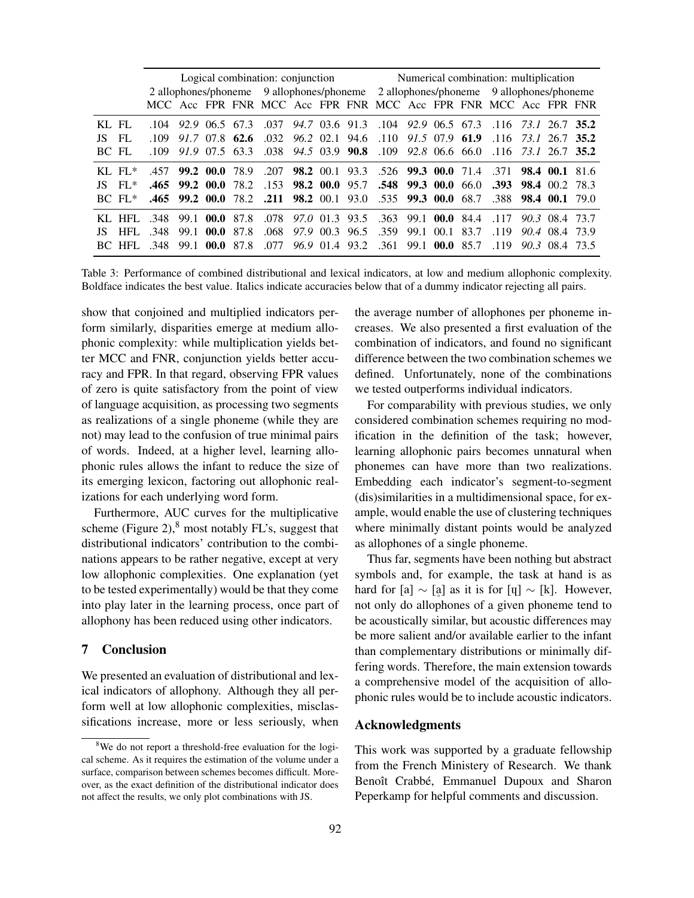|         |                      |                                |  |                |  |                                                            |  |  | Logical combination: conjunction Mumerical combination: multiplication |                                                                                     |  |  |                |                                                                                 |  |  |  |
|---------|----------------------|--------------------------------|--|----------------|--|------------------------------------------------------------|--|--|------------------------------------------------------------------------|-------------------------------------------------------------------------------------|--|--|----------------|---------------------------------------------------------------------------------|--|--|--|
|         |                      |                                |  |                |  |                                                            |  |  |                                                                        | 2 allophones/phoneme 9 allophones/phoneme 2 allophones/phoneme 9 allophones/phoneme |  |  |                |                                                                                 |  |  |  |
|         |                      |                                |  |                |  |                                                            |  |  |                                                                        |                                                                                     |  |  |                | MCC Acc FPR FNR MCC Acc FPR FNR MCC Acc FPR FNR MCC Acc FPR FNR                 |  |  |  |
| $KL$ FL |                      |                                |  |                |  |                                                            |  |  |                                                                        |                                                                                     |  |  |                | .104 92.9 06.5 67.3 .037 94.7 03.6 91.3 .104 92.9 06.5 67.3 .116 73.1 26.7 35.2 |  |  |  |
| JS.     | - FL                 |                                |  |                |  |                                                            |  |  |                                                                        |                                                                                     |  |  |                | .109 91.7 07.8 62.6 .032 96.2 02.1 94.6 .110 91.5 07.9 61.9 .116 73.1 26.7 35.2 |  |  |  |
| BC FL   |                      | $.109$ $.91.9$ $.07.5$ $.63.3$ |  |                |  |                                                            |  |  |                                                                        |                                                                                     |  |  |                | 038 94.5 03.9 90.8 .109 92.8 06.6 66.0 .116 73.1 26.7 35.2                      |  |  |  |
|         | KL $FI.*$            | $.457$ 99.2 00.0 78.9          |  |                |  |                                                            |  |  |                                                                        |                                                                                     |  |  |                | 200 98.2 00.1 93.3 526 99.3 00.0 71.4 371 98.4 00.1 81.6                        |  |  |  |
|         | $IS$ FL <sup>*</sup> |                                |  |                |  |                                                            |  |  |                                                                        |                                                                                     |  |  |                | 465 99.2 00.0 78.2 153 98.2 00.0 95.7 548 99.3 00.0 66.0 393 98.4 00.2 78.3     |  |  |  |
|         | $BC$ FL*             |                                |  |                |  | 465 99.2 00.0 78.2 .211 98.2 00.1 93.0 .535 99.3 00.0 68.7 |  |  |                                                                        |                                                                                     |  |  |                | $.388$ 98.4 00.1 79.0                                                           |  |  |  |
|         | $KL$ HFL             | 348 99.1 00.0 87.8             |  |                |  |                                                            |  |  |                                                                        |                                                                                     |  |  |                | 0.078 97.0 01.3 93.5 .363 99.1 00.0 84.4 .117 90.3 08.4 73.7                    |  |  |  |
| JS.     | HFL.                 | .348 99.1 00.0 87.8            |  |                |  |                                                            |  |  |                                                                        | .068 97.9 00.3 96.5 .359 99.1 00.1 83.7                                             |  |  |                | $.119$ 90.4 08.4 73.9                                                           |  |  |  |
|         | BC HFL               | - 348                          |  | 99.1 00.0 87.8 |  | .077                                                       |  |  |                                                                        | 96.9 01.4 93.2 .361                                                                 |  |  | 99.1 00.0 85.7 | $-119$ 90.3 08.4 73.5                                                           |  |  |  |

Table 3: Performance of combined distributional and lexical indicators, at low and medium allophonic complexity. Boldface indicates the best value. Italics indicate accuracies below that of a dummy indicator rejecting all pairs.

show that conjoined and multiplied indicators perform similarly, disparities emerge at medium allophonic complexity: while multiplication yields better MCC and FNR, conjunction yields better accuracy and FPR. In that regard, observing FPR values of zero is quite satisfactory from the point of view of language acquisition, as processing two segments as realizations of a single phoneme (while they are not) may lead to the confusion of true minimal pairs of words. Indeed, at a higher level, learning allophonic rules allows the infant to reduce the size of its emerging lexicon, factoring out allophonic realizations for each underlying word form.

Furthermore, AUC curves for the multiplicative scheme (Figure 2), $8 \text{ most notably FL's, suggest that}$ distributional indicators' contribution to the combinations appears to be rather negative, except at very low allophonic complexities. One explanation (yet to be tested experimentally) would be that they come into play later in the learning process, once part of allophony has been reduced using other indicators.

### 7 Conclusion

We presented an evaluation of distributional and lexical indicators of allophony. Although they all perform well at low allophonic complexities, misclassifications increase, more or less seriously, when the average number of allophones per phoneme increases. We also presented a first evaluation of the combination of indicators, and found no significant difference between the two combination schemes we defined. Unfortunately, none of the combinations we tested outperforms individual indicators.

For comparability with previous studies, we only considered combination schemes requiring no modification in the definition of the task; however, learning allophonic pairs becomes unnatural when phonemes can have more than two realizations. Embedding each indicator's segment-to-segment (dis)similarities in a multidimensional space, for example, would enable the use of clustering techniques where minimally distant points would be analyzed as allophones of a single phoneme.

Thus far, segments have been nothing but abstract symbols and, for example, the task at hand is as hard for [a]  $\sim$  [a] as it is for [ų]  $\sim$  [k]. However, not only do allophones of a given phoneme tend to be acoustically similar, but acoustic differences may be more salient and/or available earlier to the infant than complementary distributions or minimally differing words. Therefore, the main extension towards a comprehensive model of the acquisition of allophonic rules would be to include acoustic indicators.

#### Acknowledgments

This work was supported by a graduate fellowship from the French Ministery of Research. We thank Benoît Crabbé, Emmanuel Dupoux and Sharon Peperkamp for helpful comments and discussion.

<sup>&</sup>lt;sup>8</sup>We do not report a threshold-free evaluation for the logical scheme. As it requires the estimation of the volume under a surface, comparison between schemes becomes difficult. Moreover, as the exact definition of the distributional indicator does not affect the results, we only plot combinations with JS.